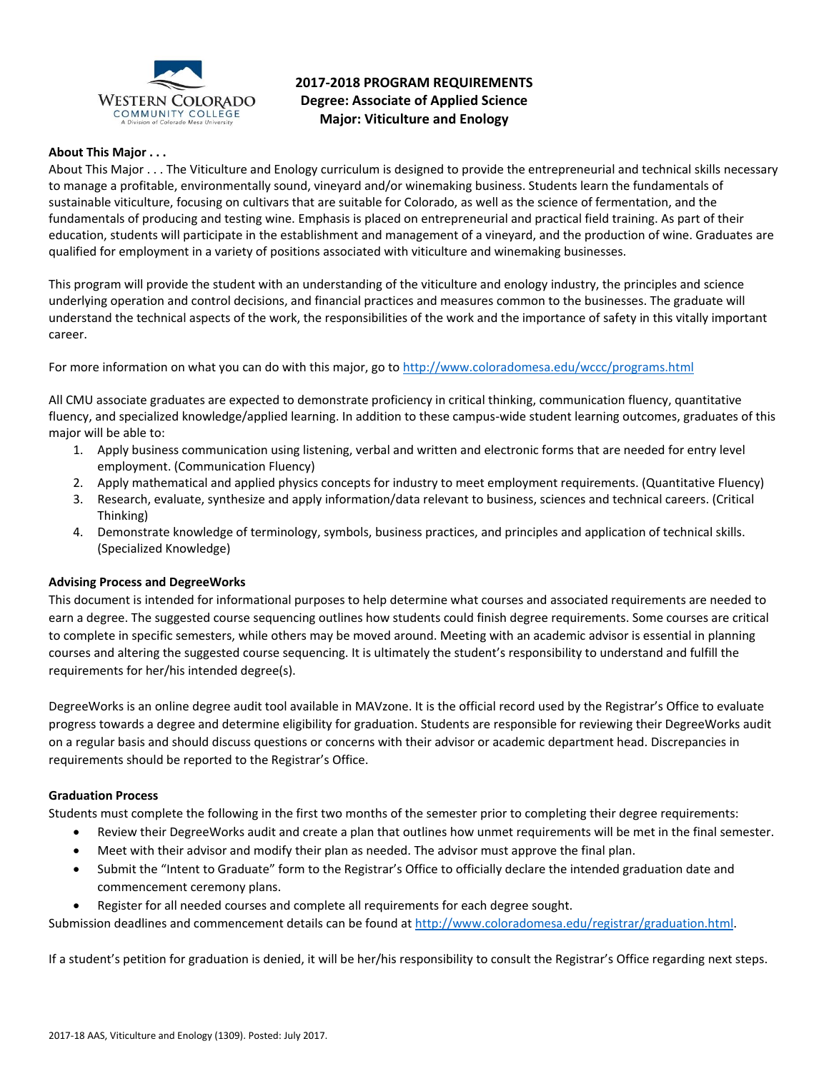

# **2017-2018 PROGRAM REQUIREMENTS Degree: Associate of Applied Science Major: Viticulture and Enology**

# **About This Major . . .**

About This Major . . . The Viticulture and Enology curriculum is designed to provide the entrepreneurial and technical skills necessary to manage a profitable, environmentally sound, vineyard and/or winemaking business. Students learn the fundamentals of sustainable viticulture, focusing on cultivars that are suitable for Colorado, as well as the science of fermentation, and the fundamentals of producing and testing wine. Emphasis is placed on entrepreneurial and practical field training. As part of their education, students will participate in the establishment and management of a vineyard, and the production of wine. Graduates are qualified for employment in a variety of positions associated with viticulture and winemaking businesses.

This program will provide the student with an understanding of the viticulture and enology industry, the principles and science underlying operation and control decisions, and financial practices and measures common to the businesses. The graduate will understand the technical aspects of the work, the responsibilities of the work and the importance of safety in this vitally important career.

For more information on what you can do with this major, go t[o http://www.coloradomesa.edu/wccc/programs.html](http://www.coloradomesa.edu/wccc/programs.html)

All CMU associate graduates are expected to demonstrate proficiency in critical thinking, communication fluency, quantitative fluency, and specialized knowledge/applied learning. In addition to these campus-wide student learning outcomes, graduates of this major will be able to:

- 1. Apply business communication using listening, verbal and written and electronic forms that are needed for entry level employment. (Communication Fluency)
- 2. Apply mathematical and applied physics concepts for industry to meet employment requirements. (Quantitative Fluency)
- 3. Research, evaluate, synthesize and apply information/data relevant to business, sciences and technical careers. (Critical Thinking)
- 4. Demonstrate knowledge of terminology, symbols, business practices, and principles and application of technical skills. (Specialized Knowledge)

# **Advising Process and DegreeWorks**

This document is intended for informational purposes to help determine what courses and associated requirements are needed to earn a degree. The suggested course sequencing outlines how students could finish degree requirements. Some courses are critical to complete in specific semesters, while others may be moved around. Meeting with an academic advisor is essential in planning courses and altering the suggested course sequencing. It is ultimately the student's responsibility to understand and fulfill the requirements for her/his intended degree(s).

DegreeWorks is an online degree audit tool available in MAVzone. It is the official record used by the Registrar's Office to evaluate progress towards a degree and determine eligibility for graduation. Students are responsible for reviewing their DegreeWorks audit on a regular basis and should discuss questions or concerns with their advisor or academic department head. Discrepancies in requirements should be reported to the Registrar's Office.

#### **Graduation Process**

Students must complete the following in the first two months of the semester prior to completing their degree requirements:

- Review their DegreeWorks audit and create a plan that outlines how unmet requirements will be met in the final semester.
- Meet with their advisor and modify their plan as needed. The advisor must approve the final plan.
- Submit the "Intent to Graduate" form to the Registrar's Office to officially declare the intended graduation date and commencement ceremony plans.
- Register for all needed courses and complete all requirements for each degree sought.

Submission deadlines and commencement details can be found at [http://www.coloradomesa.edu/registrar/graduation.html.](http://www.coloradomesa.edu/registrar/graduation.html)

If a student's petition for graduation is denied, it will be her/his responsibility to consult the Registrar's Office regarding next steps.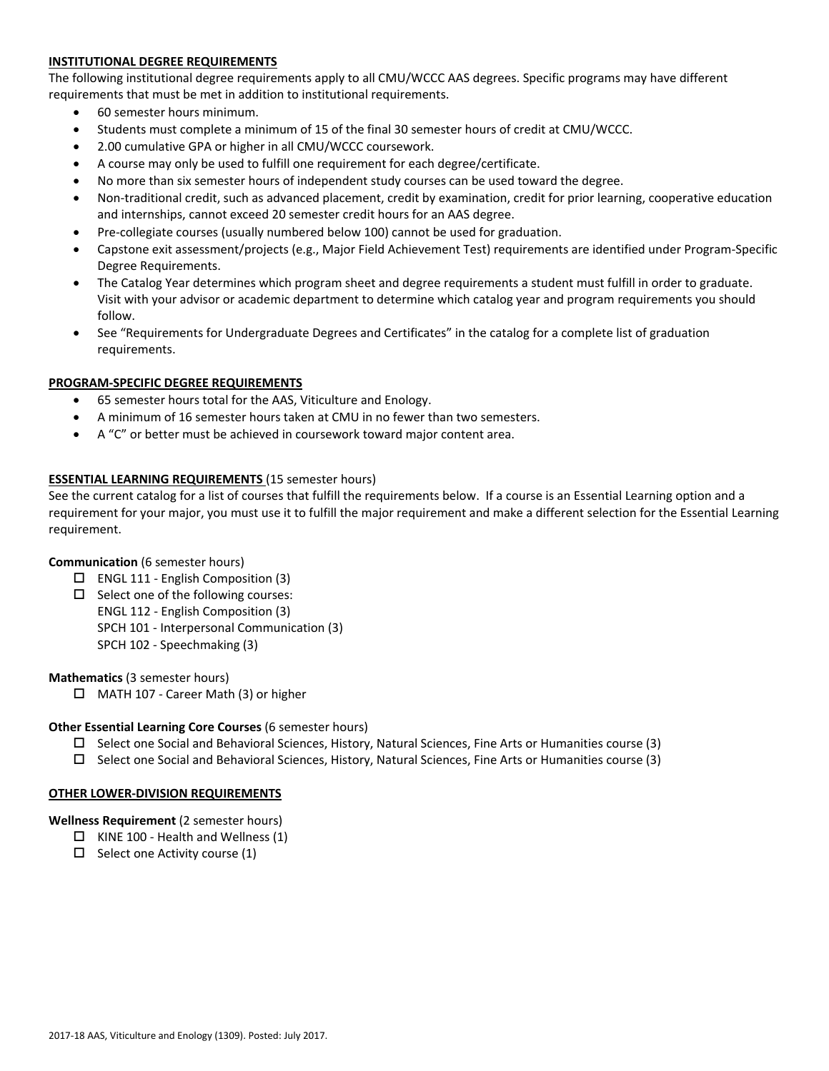# **INSTITUTIONAL DEGREE REQUIREMENTS**

The following institutional degree requirements apply to all CMU/WCCC AAS degrees. Specific programs may have different requirements that must be met in addition to institutional requirements.

- 60 semester hours minimum.
- Students must complete a minimum of 15 of the final 30 semester hours of credit at CMU/WCCC.
- 2.00 cumulative GPA or higher in all CMU/WCCC coursework.
- A course may only be used to fulfill one requirement for each degree/certificate.
- No more than six semester hours of independent study courses can be used toward the degree.
- Non-traditional credit, such as advanced placement, credit by examination, credit for prior learning, cooperative education and internships, cannot exceed 20 semester credit hours for an AAS degree.
- Pre-collegiate courses (usually numbered below 100) cannot be used for graduation.
- Capstone exit assessment/projects (e.g., Major Field Achievement Test) requirements are identified under Program-Specific Degree Requirements.
- The Catalog Year determines which program sheet and degree requirements a student must fulfill in order to graduate. Visit with your advisor or academic department to determine which catalog year and program requirements you should follow.
- See "Requirements for Undergraduate Degrees and Certificates" in the catalog for a complete list of graduation requirements.

### **PROGRAM-SPECIFIC DEGREE REQUIREMENTS**

- 65 semester hours total for the AAS, Viticulture and Enology.
- A minimum of 16 semester hours taken at CMU in no fewer than two semesters.
- A "C" or better must be achieved in coursework toward major content area.

### **ESSENTIAL LEARNING REQUIREMENTS** (15 semester hours)

See the current catalog for a list of courses that fulfill the requirements below. If a course is an Essential Learning option and a requirement for your major, you must use it to fulfill the major requirement and make a different selection for the Essential Learning requirement.

# **Communication** (6 semester hours)

- $\Box$  ENGL 111 English Composition (3)
- $\Box$  Select one of the following courses:
	- ENGL 112 English Composition (3)
	- SPCH 101 Interpersonal Communication (3)
	- SPCH 102 Speechmaking (3)

# **Mathematics** (3 semester hours)

□ MATH 107 - Career Math (3) or higher

#### **Other Essential Learning Core Courses** (6 semester hours)

- $\square$  Select one Social and Behavioral Sciences, History, Natural Sciences, Fine Arts or Humanities course (3)
- $\square$  Select one Social and Behavioral Sciences, History, Natural Sciences, Fine Arts or Humanities course (3)

#### **OTHER LOWER-DIVISION REQUIREMENTS**

#### **Wellness Requirement** (2 semester hours)

- $\Box$  KINE 100 Health and Wellness (1)
- $\Box$  Select one Activity course (1)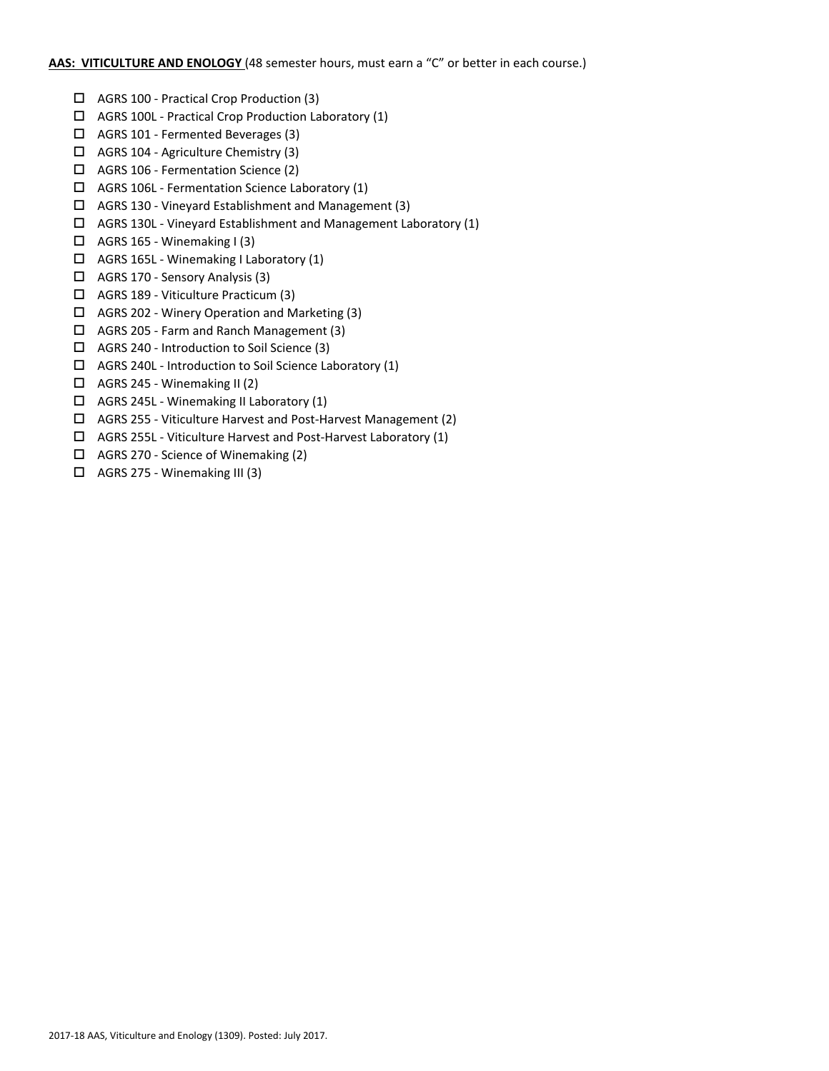### **AAS: VITICULTURE AND ENOLOGY** (48 semester hours, must earn a "C" or better in each course.)

- AGRS 100 Practical Crop Production (3)
- $\Box$  AGRS 100L Practical Crop Production Laboratory (1)
- AGRS 101 Fermented Beverages (3)
- $\Box$  AGRS 104 Agriculture Chemistry (3)
- AGRS 106 Fermentation Science (2)
- $\Box$  AGRS 106L Fermentation Science Laboratory (1)
- AGRS 130 Vineyard Establishment and Management (3)
- AGRS 130L Vineyard Establishment and Management Laboratory (1)
- $\Box$  AGRS 165 Winemaking I (3)
- AGRS 165L Winemaking I Laboratory (1)
- AGRS 170 Sensory Analysis (3)
- AGRS 189 Viticulture Practicum (3)
- AGRS 202 Winery Operation and Marketing (3)
- AGRS 205 Farm and Ranch Management (3)
- AGRS 240 Introduction to Soil Science (3)
- $\Box$  AGRS 240L Introduction to Soil Science Laboratory (1)
- $\Box$  AGRS 245 Winemaking II (2)
- $\Box$  AGRS 245L Winemaking II Laboratory (1)
- AGRS 255 Viticulture Harvest and Post-Harvest Management (2)
- AGRS 255L Viticulture Harvest and Post-Harvest Laboratory (1)
- $\Box$  AGRS 270 Science of Winemaking (2)
- $\Box$  AGRS 275 Winemaking III (3)